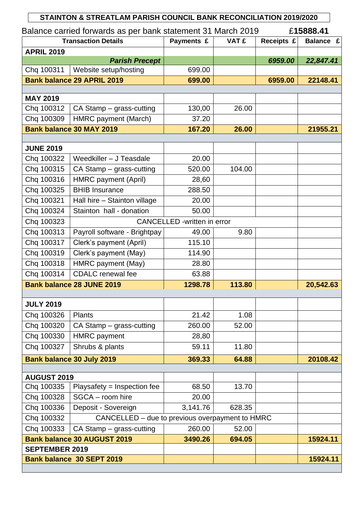|                                              | STAINTON & STREATLAM PARISH COUNCIL BANK RECONCILIATION 2019/2020 |                                    |              |            |           |  |  |  |
|----------------------------------------------|-------------------------------------------------------------------|------------------------------------|--------------|------------|-----------|--|--|--|
|                                              | Balance carried forwards as per bank statement 31 March 2019      |                                    |              |            | £15888.41 |  |  |  |
| <b>Transaction Details</b>                   |                                                                   | Payments £                         | <b>VAT £</b> | Receipts £ | Balance £ |  |  |  |
| <b>APRIL 2019</b>                            |                                                                   |                                    |              |            |           |  |  |  |
|                                              | <b>Parish Precept</b>                                             |                                    |              | 6959.00    | 22,847.41 |  |  |  |
| Chq 100311                                   | Website setup/hosting                                             | 699.00                             |              |            |           |  |  |  |
| <b>Bank balance 29 APRIL 2019</b>            |                                                                   | 699.00                             |              | 6959.00    | 22148.41  |  |  |  |
| <b>MAY 2019</b>                              |                                                                   |                                    |              |            |           |  |  |  |
| Chq 100312                                   | CA Stamp - grass-cutting                                          | 130,00                             | 26.00        |            |           |  |  |  |
| Chq 100309                                   | HMRC payment (March)                                              | 37.20                              |              |            |           |  |  |  |
|                                              | <b>Bank balance 30 MAY 2019</b>                                   | 167.20                             | 26.00        |            | 21955.21  |  |  |  |
|                                              |                                                                   |                                    |              |            |           |  |  |  |
| <b>JUNE 2019</b>                             |                                                                   |                                    |              |            |           |  |  |  |
| Chq 100322                                   | Weedkiller - J Teasdale                                           | 20.00                              |              |            |           |  |  |  |
| Chq 100315                                   | CA Stamp - grass-cutting                                          | 520.00                             | 104.00       |            |           |  |  |  |
| Chq 100316                                   | HMRC payment (April)                                              | 28,60                              |              |            |           |  |  |  |
| Chq 100325                                   | <b>BHIB Insurance</b>                                             | 288.50                             |              |            |           |  |  |  |
| Chq 100321                                   | Hall hire - Stainton village                                      | 20.00                              |              |            |           |  |  |  |
| Chq 100324                                   | Stainton hall - donation                                          | 50.00                              |              |            |           |  |  |  |
| Chq 100323                                   |                                                                   | <b>CANCELLED</b> -written in error |              |            |           |  |  |  |
| Chq 100313                                   | Payroll software - Brightpay                                      | 49.00                              | 9.80         |            |           |  |  |  |
| Chq 100317                                   | Clerk's payment (April)                                           | 115.10                             |              |            |           |  |  |  |
| Chq 100319                                   | Clerk's payment (May)                                             | 114.90                             |              |            |           |  |  |  |
| Chq 100318                                   | HMRC payment (May)                                                | 28.80                              |              |            |           |  |  |  |
| Chq 100314                                   | <b>CDALC</b> renewal fee                                          | 63.88                              |              |            |           |  |  |  |
|                                              | <b>Bank balance 28 JUNE 2019</b>                                  | 1298.78                            | 113.80       |            | 20,542.63 |  |  |  |
|                                              |                                                                   |                                    |              |            |           |  |  |  |
| <b>JULY 2019</b>                             |                                                                   |                                    |              |            |           |  |  |  |
| Chq 100326                                   | <b>Plants</b>                                                     | 21.42                              | 1.08         |            |           |  |  |  |
| Chq 100320                                   | CA Stamp – grass-cutting                                          | 260.00                             | 52.00        |            |           |  |  |  |
| Chq 100330                                   | <b>HMRC</b> payment                                               | 28,80                              |              |            |           |  |  |  |
| Chq 100327                                   | Shrubs & plants                                                   | 59.11                              | 11.80        |            |           |  |  |  |
|                                              | Bank balance 30 July 2019                                         | 369.33                             | 64.88        |            | 20108.42  |  |  |  |
|                                              |                                                                   |                                    |              |            |           |  |  |  |
| <b>AUGUST 2019</b><br>Chq 100335             | Playsafety = Inspection fee                                       | 68.50                              | 13.70        |            |           |  |  |  |
| Chq 100328                                   | SGCA - room hire                                                  | 20.00                              |              |            |           |  |  |  |
| Chq 100336                                   | Deposit - Sovereign                                               | 3,141.76                           | 628.35       |            |           |  |  |  |
| Chq 100332                                   | CANCELLED - due to previous overpayment to HMRC                   |                                    |              |            |           |  |  |  |
| Chq 100333                                   | CA Stamp - grass-cutting                                          | 260.00                             | 52.00        |            |           |  |  |  |
|                                              | <b>Bank balance 30 AUGUST 2019</b>                                | 3490.26                            | 694.05       |            | 15924.11  |  |  |  |
| <b>SEPTEMBER 2019</b>                        |                                                                   |                                    |              |            |           |  |  |  |
| 15924.11<br><b>Bank balance 30 SEPT 2019</b> |                                                                   |                                    |              |            |           |  |  |  |
|                                              |                                                                   |                                    |              |            |           |  |  |  |